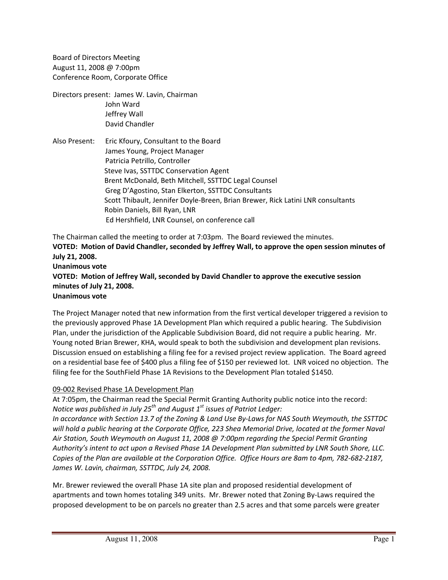Board of Directors Meeting August 11, 2008 @ 7:00pm Conference Room, Corporate Office

Directors present: James W. Lavin, Chairman John Ward Jeffrey Wall David Chandler

Also Present: Eric Kfoury, Consultant to the Board James Young, Project Manager Patricia Petrillo, Controller Steve Ivas, SSTTDC Conservation Agent Brent McDonald, Beth Mitchell, SSTTDC Legal Counsel Greg D'Agostino, Stan Elkerton, SSTTDC Consultants Scott Thibault, Jennifer Doyle‐Breen, Brian Brewer, Rick Latini LNR consultants Robin Daniels, Bill Ryan, LNR Ed Hershfield, LNR Counsel, on conference call

The Chairman called the meeting to order at 7:03pm. The Board reviewed the minutes. **VOTED: Motion of David Chandler, seconded by Jeffrey Wall, to approve the open session minutes of July 21, 2008. Unanimous vote VOTED: Motion of Jeffrey Wall, seconded by David Chandler to approve the executive session minutes of July 21, 2008. Unanimous vote**

The Project Manager noted that new information from the first vertical developer triggered a revision to the previously approved Phase 1A Development Plan which required a public hearing. The Subdivision Plan, under the jurisdiction of the Applicable Subdivision Board, did not require a public hearing. Mr. Young noted Brian Brewer, KHA, would speak to both the subdivision and development plan revisions. Discussion ensued on establishing a filing fee for a revised project review application. The Board agreed on a residential base fee of \$400 plus a filing fee of \$150 per reviewed lot. LNR voiced no objection. The filing fee for the SouthField Phase 1A Revisions to the Development Plan totaled \$1450.

#### 09‐002 Revised Phase 1A Development Plan

At 7:05pm, the Chairman read the Special Permit Granting Authority public notice into the record: *Notice was published in July 25<sup>th</sup> and August 1<sup>st</sup> issues of Patriot Ledger: In accordance with Section 13.7 of the Zoning & Land Use By‐Laws for NAS South Weymouth, the SSTTDC will hold a public hearing at the Corporate Office, 223 Shea Memorial Drive, located at the former Naval Air Station, South Weymouth on August 11, 2008 @ 7:00pm regarding the Special Permit Granting Authority's intent to act upon a Revised Phase 1A Development Plan submitted by LNR South Shore, LLC. Copies of the Plan are available at the Corporation Office. Office Hours are 8am to 4pm, 782‐682‐2187, James W. Lavin, chairman, SSTTDC, July 24, 2008.*

Mr. Brewer reviewed the overall Phase 1A site plan and proposed residential development of apartments and town homes totaling 349 units. Mr. Brewer noted that Zoning By‐Laws required the proposed development to be on parcels no greater than 2.5 acres and that some parcels were greater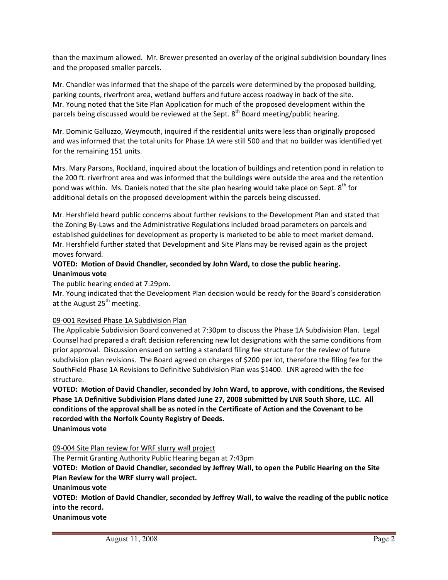than the maximum allowed. Mr. Brewer presented an overlay of the original subdivision boundary lines and the proposed smaller parcels.

Mr. Chandler was informed that the shape of the parcels were determined by the proposed building, parking counts, riverfront area, wetland buffers and future access roadway in back of the site. Mr. Young noted that the Site Plan Application for much of the proposed development within the parcels being discussed would be reviewed at the Sept. 8<sup>th</sup> Board meeting/public hearing.

Mr. Dominic Galluzzo, Weymouth, inquired if the residential units were less than originally proposed and was informed that the total units for Phase 1A were still 500 and that no builder was identified yet for the remaining 151 units.

Mrs. Mary Parsons, Rockland, inquired about the location of buildings and retention pond in relation to the 200 ft. riverfront area and was informed that the buildings were outside the area and the retention pond was within. Ms. Daniels noted that the site plan hearing would take place on Sept.  $8<sup>th</sup>$  for additional details on the proposed development within the parcels being discussed.

Mr. Hershfield heard public concerns about further revisions to the Development Plan and stated that the Zoning By‐Laws and the Administrative Regulations included broad parameters on parcels and established guidelines for development as property is marketed to be able to meet market demand. Mr. Hershfield further stated that Development and Site Plans may be revised again as the project moves forward.

## **VOTED: Motion of David Chandler, seconded by John Ward, to close the public hearing. Unanimous vote**

The public hearing ended at 7:29pm.

Mr. Young indicated that the Development Plan decision would be ready for the Board's consideration at the August  $25<sup>th</sup>$  meeting.

## 09‐001 Revised Phase 1A Subdivision Plan

The Applicable Subdivision Board convened at 7:30pm to discuss the Phase 1A Subdivision Plan. Legal Counsel had prepared a draft decision referencing new lot designations with the same conditions from prior approval. Discussion ensued on setting a standard filing fee structure for the review of future subdivision plan revisions. The Board agreed on charges of \$200 per lot, therefore the filing fee for the SouthField Phase 1A Revisions to Definitive Subdivision Plan was \$1400. LNR agreed with the fee structure.

**VOTED: Motion of David Chandler, seconded by John Ward, to approve, with conditions, the Revised Phase 1A Definitive Subdivision Plans dated June 27, 2008 submitted by LNR South Shore, LLC. All conditions of the approval shall be as noted in the Certificate of Action and the Covenant to be recorded with the Norfolk County Registry of Deeds. Unanimous vote**

09‐004 Site Plan review for WRF slurry wall project

The Permit Granting Authority Public Hearing began at 7:43pm

**VOTED: Motion of David Chandler, seconded by Jeffrey Wall, to open the Public Hearing on the Site Plan Review for the WRF slurry wall project.**

**Unanimous vote**

**VOTED: Motion of David Chandler, seconded by Jeffrey Wall, to waive the reading of the public notice into the record.**

**Unanimous vote**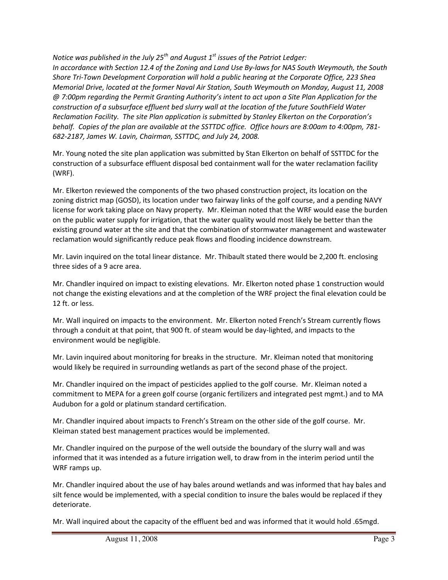*Notice was published in the July 25<sup>th</sup> and August 1<sup>st</sup> issues of the Patriot Ledger: In accordance with Section 12.4 of the Zoning and Land Use By‐laws for NAS South Weymouth, the South Shore Tri‐Town Development Corporation will hold a public hearing at the Corporate Office, 223 Shea Memorial Drive, located at the former Naval Air Station, South Weymouth on Monday, August 11, 2008 @ 7:00pm regarding the Permit Granting Authority's intent to act upon a Site Plan Application for the construction of a subsurface effluent bed slurry wall at the location of the future SouthField Water Reclamation Facility. The site Plan application is submitted by Stanley Elkerton on the Corporation's behalf. Copies of the plan are available at the SSTTDC office. Office hours are 8:00am to 4:00pm, 781‐ 682‐2187, James W. Lavin, Chairman, SSTTDC, and July 24, 2008.*

Mr. Young noted the site plan application was submitted by Stan Elkerton on behalf of SSTTDC for the construction of a subsurface effluent disposal bed containment wall for the water reclamation facility (WRF).

Mr. Elkerton reviewed the components of the two phased construction project, its location on the zoning district map (GOSD), its location under two fairway links of the golf course, and a pending NAVY license for work taking place on Navy property. Mr. Kleiman noted that the WRF would ease the burden on the public water supply for irrigation, that the water quality would most likely be better than the existing ground water at the site and that the combination of stormwater management and wastewater reclamation would significantly reduce peak flows and flooding incidence downstream.

Mr. Lavin inquired on the total linear distance. Mr. Thibault stated there would be 2,200 ft. enclosing three sides of a 9 acre area.

Mr. Chandler inquired on impact to existing elevations. Mr. Elkerton noted phase 1 construction would not change the existing elevations and at the completion of the WRF project the final elevation could be 12 ft. or less.

Mr. Wall inquired on impacts to the environment. Mr. Elkerton noted French's Stream currently flows through a conduit at that point, that 900 ft. of steam would be day‐lighted, and impacts to the environment would be negligible.

Mr. Lavin inquired about monitoring for breaks in the structure. Mr. Kleiman noted that monitoring would likely be required in surrounding wetlands as part of the second phase of the project.

Mr. Chandler inquired on the impact of pesticides applied to the golf course. Mr. Kleiman noted a commitment to MEPA for a green golf course (organic fertilizers and integrated pest mgmt.) and to MA Audubon for a gold or platinum standard certification.

Mr. Chandler inquired about impacts to French's Stream on the other side of the golf course. Mr. Kleiman stated best management practices would be implemented.

Mr. Chandler inquired on the purpose of the well outside the boundary of the slurry wall and was informed that it was intended as a future irrigation well, to draw from in the interim period until the WRF ramps up.

Mr. Chandler inquired about the use of hay bales around wetlands and was informed that hay bales and silt fence would be implemented, with a special condition to insure the bales would be replaced if they deteriorate.

Mr. Wall inquired about the capacity of the effluent bed and was informed that it would hold .65mgd.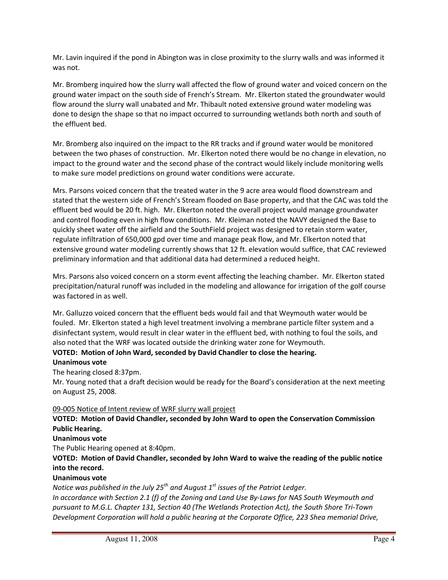Mr. Lavin inquired if the pond in Abington was in close proximity to the slurry walls and was informed it was not.

Mr. Bromberg inquired how the slurry wall affected the flow of ground water and voiced concern on the ground water impact on the south side of French's Stream. Mr. Elkerton stated the groundwater would flow around the slurry wall unabated and Mr. Thibault noted extensive ground water modeling was done to design the shape so that no impact occurred to surrounding wetlands both north and south of the effluent bed.

Mr. Bromberg also inquired on the impact to the RR tracks and if ground water would be monitored between the two phases of construction. Mr. Elkerton noted there would be no change in elevation, no impact to the ground water and the second phase of the contract would likely include monitoring wells to make sure model predictions on ground water conditions were accurate.

Mrs. Parsons voiced concern that the treated water in the 9 acre area would flood downstream and stated that the western side of French's Stream flooded on Base property, and that the CAC was told the effluent bed would be 20 ft. high. Mr. Elkerton noted the overall project would manage groundwater and control flooding even in high flow conditions. Mr. Kleiman noted the NAVY designed the Base to quickly sheet water off the airfield and the SouthField project was designed to retain storm water, regulate infiltration of 650,000 gpd over time and manage peak flow, and Mr. Elkerton noted that extensive ground water modeling currently shows that 12 ft. elevation would suffice, that CAC reviewed preliminary information and that additional data had determined a reduced height.

Mrs. Parsons also voiced concern on a storm event affecting the leaching chamber. Mr. Elkerton stated precipitation/natural runoff was included in the modeling and allowance for irrigation of the golf course was factored in as well.

Mr. Galluzzo voiced concern that the effluent beds would fail and that Weymouth water would be fouled. Mr. Elkerton stated a high level treatment involving a membrane particle filter system and a disinfectant system, would result in clear water in the effluent bed, with nothing to foul the soils, and also noted that the WRF was located outside the drinking water zone for Weymouth.

#### **VOTED: Motion of John Ward, seconded by David Chandler to close the hearing.**

## **Unanimous vote**

The hearing closed 8:37pm.

Mr. Young noted that a draft decision would be ready for the Board's consideration at the next meeting on August 25, 2008.

#### 09‐005 Notice of Intent review of WRF slurry wall project

### **VOTED: Motion of David Chandler, seconded by John Ward to open the Conservation Commission Public Hearing.**

#### **Unanimous vote**

The Public Hearing opened at 8:40pm.

## **VOTED: Motion of David Chandler, seconded by John Ward to waive the reading of the public notice into the record.**

#### **Unanimous vote**

*Notice was published in the July 25<sup>th</sup> and August 1<sup>st</sup> issues of the Patriot Ledger.* 

*In accordance with Section 2.1 (f) of the Zoning and Land Use By‐Laws for NAS South Weymouth and pursuant to M.G.L. Chapter 131, Section 40 (The Wetlands Protection Act), the South Shore Tri‐Town Development Corporation will hold a public hearing at the Corporate Office, 223 Shea memorial Drive,*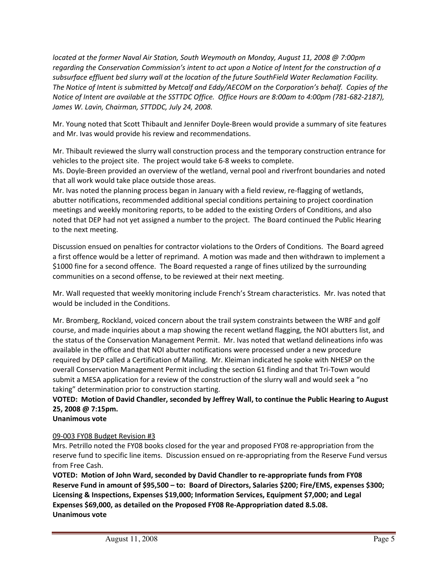*located at the former Naval Air Station, South Weymouth on Monday, August 11, 2008 @ 7:00pm regarding the Conservation Commission's intent to act upon a Notice of Intent for the construction of a subsurface effluent bed slurry wall at the location of the future SouthField Water Reclamation Facility. The Notice of Intent is submitted by Metcalf and Eddy/AECOM on the Corporation's behalf. Copies of the Notice of Intent are available at the SSTTDC Office. Office Hours are 8:00am to 4:00pm (781‐682‐2187), James W. Lavin, Chairman, STTDDC, July 24, 2008.*

Mr. Young noted that Scott Thibault and Jennifer Doyle‐Breen would provide a summary of site features and Mr. Ivas would provide his review and recommendations.

Mr. Thibault reviewed the slurry wall construction process and the temporary construction entrance for vehicles to the project site. The project would take 6‐8 weeks to complete.

Ms. Doyle‐Breen provided an overview of the wetland, vernal pool and riverfront boundaries and noted that all work would take place outside those areas.

Mr. Ivas noted the planning process began in January with a field review, re-flagging of wetlands, abutter notifications, recommended additional special conditions pertaining to project coordination meetings and weekly monitoring reports, to be added to the existing Orders of Conditions, and also noted that DEP had not yet assigned a number to the project. The Board continued the Public Hearing to the next meeting.

Discussion ensued on penalties for contractor violations to the Orders of Conditions. The Board agreed a first offence would be a letter of reprimand. A motion was made and then withdrawn to implement a \$1000 fine for a second offence. The Board requested a range of fines utilized by the surrounding communities on a second offense, to be reviewed at their next meeting.

Mr. Wall requested that weekly monitoring include French's Stream characteristics. Mr. Ivas noted that would be included in the Conditions.

Mr. Bromberg, Rockland, voiced concern about the trail system constraints between the WRF and golf course, and made inquiries about a map showing the recent wetland flagging, the NOI abutters list, and the status of the Conservation Management Permit. Mr. Ivas noted that wetland delineations info was available in the office and that NOI abutter notifications were processed under a new procedure required by DEP called a Certification of Mailing. Mr. Kleiman indicated he spoke with NHESP on the overall Conservation Management Permit including the section 61 finding and that Tri‐Town would submit a MESA application for a review of the construction of the slurry wall and would seek a "no taking" determination prior to construction starting.

# **VOTED: Motion of David Chandler, seconded by Jeffrey Wall, to continue the Public Hearing to August 25, 2008 @ 7:15pm.**

**Unanimous vote**

## 09‐003 FY08 Budget Revision #3

Mrs. Petrillo noted the FY08 books closed for the year and proposed FY08 re‐appropriation from the reserve fund to specific line items. Discussion ensued on re-appropriating from the Reserve Fund versus from Free Cash.

**VOTED: Motion of John Ward, seconded by David Chandler to re‐appropriate funds from FY08 Reserve Fund in amount of \$95,500 – to: Board of Directors, Salaries \$200; Fire/EMS, expenses \$300; Licensing & Inspections, Expenses \$19,000; Information Services, Equipment \$7,000; and Legal Expenses \$69,000, as detailed on the Proposed FY08 Re‐Appropriation dated 8.5.08. Unanimous vote**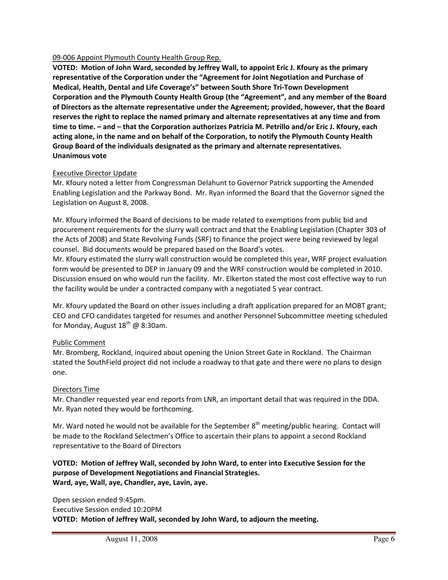#### 09‐006 Appoint Plymouth County Health Group Rep.

**VOTED: Motion of John Ward, seconded by Jeffrey Wall, to appoint Eric J. Kfoury as the primary representative of the Corporation under the "Agreement for Joint Negotiation and Purchase of Medical, Health, Dental and Life Coverage's" between South Shore Tri‐Town Development Corporation and the Plymouth County Health Group (the "Agreement", and any member of the Board of Directors as the alternate representative under the Agreement; provided, however, that the Board reserves the right to replace the named primary and alternate representatives at any time and from time to time. – and – that the Corporation authorizes Patricia M. Petrillo and/or Eric J. Kfoury, each acting alone, in the name and on behalf of the Corporation, to notify the Plymouth County Health Group Board of the individuals designated as the primary and alternate representatives. Unanimous vote**

#### Executive Director Update

Mr. Kfoury noted a letter from Congressman Delahunt to Governor Patrick supporting the Amended Enabling Legislation and the Parkway Bond. Mr. Ryan informed the Board that the Governor signed the Legislation on August 8, 2008.

Mr. Kfoury informed the Board of decisions to be made related to exemptions from public bid and procurement requirements for the slurry wall contract and that the Enabling Legislation (Chapter 303 of the Acts of 2008) and State Revolving Funds (SRF) to finance the project were being reviewed by legal counsel. Bid documents would be prepared based on the Board's votes.

Mr. Kfoury estimated the slurry wall construction would be completed this year, WRF project evaluation form would be presented to DEP in January 09 and the WRF construction would be completed in 2010. Discussion ensued on who would run the facility. Mr. Elkerton stated the most cost effective way to run the facility would be under a contracted company with a negotiated 5 year contract.

Mr. Kfoury updated the Board on other issues including a draft application prepared for an MOBT grant; CEO and CFO candidates targeted for resumes and another Personnel Subcommittee meeting scheduled for Monday, August  $18^{th}$  @ 8:30am.

#### Public Comment

Mr. Bromberg, Rockland, inquired about opening the Union Street Gate in Rockland. The Chairman stated the SouthField project did not include a roadway to that gate and there were no plans to design one.

#### Directors Time

Mr. Chandler requested year end reports from LNR, an important detail that was required in the DDA. Mr. Ryan noted they would be forthcoming.

Mr. Ward noted he would not be available for the September  $8<sup>th</sup>$  meeting/public hearing. Contact will be made to the Rockland Selectmen's Office to ascertain their plans to appoint a second Rockland representative to the Board of Directors

## **VOTED: Motion of Jeffrey Wall, seconded by John Ward, to enter into Executive Session for the purpose of Development Negotiations and Financial Strategies. Ward, aye, Wall, aye, Chandler, aye, Lavin, aye.**

Open session ended 9:45pm. Executive Session ended 10:20PM **VOTED: Motion of Jeffrey Wall, seconded by John Ward, to adjourn the meeting.**